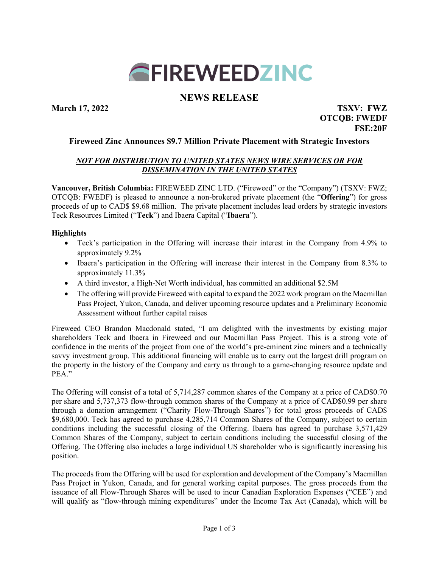

# **NEWS RELEASE**

**March 17, 2022 TSXV: FWZ**

**OTCQB: FWEDF FSE:20F**

## **Fireweed Zinc Announces \$9.7 Million Private Placement with Strategic Investors**

## *NOT FOR DISTRIBUTION TO UNITED STATES NEWS WIRE SERVICES OR FOR DISSEMINATION IN THE UNITED STATES*

**Vancouver, British Columbia:** FIREWEED ZINC LTD. ("Fireweed" or the "Company") (TSXV: FWZ; OTCQB: FWEDF) is pleased to announce a non-brokered private placement (the "**Offering**") for gross proceeds of up to CAD\$ \$9.68 million. The private placement includes lead orders by strategic investors Teck Resources Limited ("**Teck**") and Ibaera Capital ("**Ibaera**").

### **Highlights**

- Teck's participation in the Offering will increase their interest in the Company from 4.9% to approximately 9.2%
- Ibaera's participation in the Offering will increase their interest in the Company from 8.3% to approximately 11.3%
- A third investor, a High-Net Worth individual, has committed an additional \$2.5M
- The offering will provide Fireweed with capital to expand the 2022 work program on the Macmillan Pass Project, Yukon, Canada, and deliver upcoming resource updates and a Preliminary Economic Assessment without further capital raises

Fireweed CEO Brandon Macdonald stated, "I am delighted with the investments by existing major shareholders Teck and Ibaera in Fireweed and our Macmillan Pass Project. This is a strong vote of confidence in the merits of the project from one of the world's pre-eminent zinc miners and a technically savvy investment group. This additional financing will enable us to carry out the largest drill program on the property in the history of the Company and carry us through to a game-changing resource update and PEA."

The Offering will consist of a total of 5,714,287 common shares of the Company at a price of CAD\$0.70 per share and 5,737,373 flow-through common shares of the Company at a price of CAD\$0.99 per share through a donation arrangement ("Charity Flow-Through Shares") for total gross proceeds of CAD\$ \$9,680,000. Teck has agreed to purchase 4,285,714 Common Shares of the Company, subject to certain conditions including the successful closing of the Offering. Ibaera has agreed to purchase 3,571,429 Common Shares of the Company, subject to certain conditions including the successful closing of the Offering. The Offering also includes a large individual US shareholder who is significantly increasing his position.

The proceeds from the Offering will be used for exploration and development of the Company's Macmillan Pass Project in Yukon, Canada, and for general working capital purposes. The gross proceeds from the issuance of all Flow-Through Shares will be used to incur Canadian Exploration Expenses ("CEE") and will qualify as "flow-through mining expenditures" under the Income Tax Act (Canada), which will be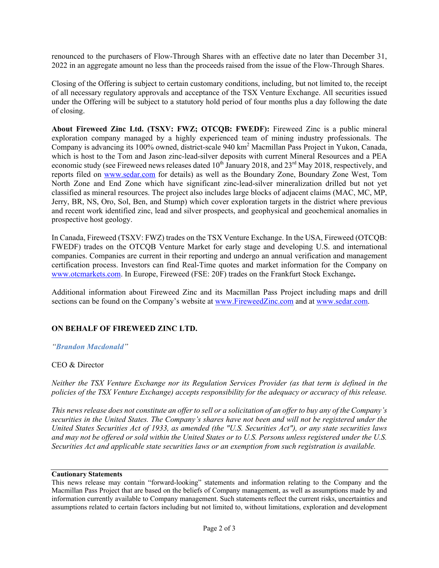renounced to the purchasers of Flow-Through Shares with an effective date no later than December 31, 2022 in an aggregate amount no less than the proceeds raised from the issue of the Flow-Through Shares.

Closing of the Offering is subject to certain customary conditions, including, but not limited to, the receipt of all necessary regulatory approvals and acceptance of the TSX Venture Exchange. All securities issued under the Offering will be subject to a statutory hold period of four months plus a day following the date of closing.

**About Fireweed Zinc Ltd. (TSXV: FWZ; OTCQB: FWEDF):** Fireweed Zinc is a public mineral exploration company managed by a highly experienced team of mining industry professionals. The Company is advancing its 100% owned, district-scale 940 km2 Macmillan Pass Project in Yukon, Canada, which is host to the Tom and Jason zinc-lead-silver deposits with current Mineral Resources and a PEA economic study (see Fireweed news releases dated 10<sup>th</sup> January 2018, and 23<sup>rd</sup> May 2018, respectively, and reports filed on [www.sedar.com](about:blank) for details) as well as the Boundary Zone, Boundary Zone West, Tom North Zone and End Zone which have significant zinc-lead-silver mineralization drilled but not yet classified as mineral resources. The project also includes large blocks of adjacent claims (MAC, MC, MP, Jerry, BR, NS, Oro, Sol, Ben, and Stump) which cover exploration targets in the district where previous and recent work identified zinc, lead and silver prospects, and geophysical and geochemical anomalies in prospective host geology.

In Canada, Fireweed (TSXV: FWZ) trades on the TSX Venture Exchange. In the USA, Fireweed (OTCQB: FWEDF) trades on the OTCQB Venture Market for early stage and developing U.S. and international companies. Companies are current in their reporting and undergo an annual verification and management certification process. Investors can find Real-Time quotes and market information for the Company on [www.otcmarkets.com.](about:blank) In Europe, Fireweed (FSE: 20F) trades on the Frankfurt Stock Exchange**.**

Additional information about Fireweed Zinc and its Macmillan Pass Project including maps and drill sections can be found on the Company's website at [www.FireweedZinc.com](http://www.fireweedzinc.com/) and at [www.sedar.com.](http://www.sedar.com/)

## **ON BEHALF OF FIREWEED ZINC LTD.**

*"Brandon Macdonald"*

#### CEO & Director

*Neither the TSX Venture Exchange nor its Regulation Services Provider (as that term is defined in the policies of the TSX Venture Exchange) accepts responsibility for the adequacy or accuracy of this release.*

*This news release does not constitute an offerto sell or a solicitation of an offer to buy any of the Company's securities in the United States. The Company's shares have not been and will not be registered under the United States Securities Act of 1933, as amended (the "U.S. Securities Act"), or any state securities laws and may not be offered or sold within the United States or to U.S. Persons unless registered under the U.S. Securities Act and applicable state securities laws or an exemption from such registration is available.*

#### **Cautionary Statements**

This news release may contain "forward-looking" statements and information relating to the Company and the Macmillan Pass Project that are based on the beliefs of Company management, as well as assumptions made by and information currently available to Company management. Such statements reflect the current risks, uncertainties and assumptions related to certain factors including but not limited to, without limitations, exploration and development